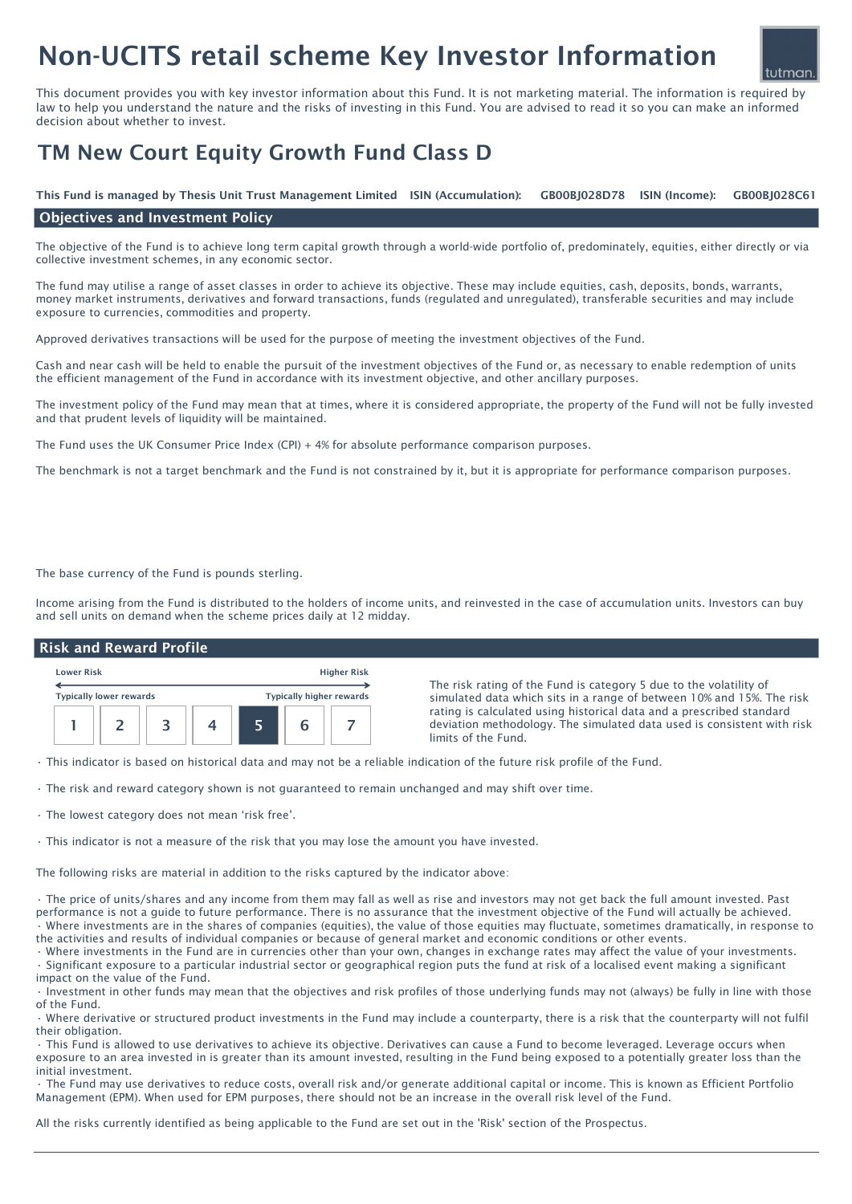# Non-UCITS retail scheme Key Investor Information

This document provides you with key investor information about this Fund. It is not marketing material. The information is required by law to help you understand the nature and the risks of investing in this Fund. You are advised to read it so you can make an informed decision about whether to invest.

## TM New Court Equity Growth Fund Class D

ISIN (Income): This Fund is managed by Thesis Unit Trust Management Limited ISIN (Accumulation): GB00BJ028D78 ISIN (Income): GB00BJ028C61

#### Objectives and Investment Policy

The objective of the Fund is to achieve long term capital growth through a world-wide portfolio of, predominately, equities, either directly or via collective investment schemes, in any economic sector.

The fund may utilise a range of asset classes in order to achieve its objective. These may include equities, cash, deposits, bonds, warrants, money market instruments, derivatives and forward transactions, funds (regulated and unregulated), transferable securities and may include exposure to currencies, commodities and property.

Approved derivatives transactions will be used for the purpose of meeting the investment objectives of the Fund.

Cash and near cash will be held to enable the pursuit of the investment objectives of the Fund or, as necessary to enable redemption of units the efficient management of the Fund in accordance with its investment objective, and other ancillary purposes.

The investment policy of the Fund may mean that at times, where it is considered appropriate, the property of the Fund will not be fully invested and that prudent levels of liquidity will be maintained.

The Fund uses the UK Consumer Price Index (CPI) + 4% for absolute performance comparison purposes.

The benchmark is not a target benchmark and the Fund is not constrained by it, but it is appropriate for performance comparison purposes.

The base currency of the Fund is pounds sterling.

Income arising from the Fund is distributed to the holders of income units, and reinvested in the case of accumulation units. Investors can buy and sell units on demand when the scheme prices daily at 12 midday.

#### Risk and Reward Profile



The risk rating of the Fund is category 5 due to the volatility of simulated data which sits in a range of between 10% and 15%. The risk rating is calculated using historical data and a prescribed standard deviation methodology. The simulated data used is consistent with risk limits of the Fund.

tutman

• This indicator is based on historical data and may not be a reliable indication of the future risk profile of the Fund.

- The risk and reward category shown is not guaranteed to remain unchanged and may shift over time.
- The lowest category does not mean 'risk free'.

• This indicator is not a measure of the risk that you may lose the amount you have invested.

The following risks are material in addition to the risks captured by the indicator above:

• The price of units/shares and any income from them may fall as well as rise and investors may not get back the full amount invested. Past performance is not a guide to future performance. There is no assurance that the investment objective of the Fund will actually be achieved. • Where investments are in the shares of companies (equities), the value of those equities may fluctuate, sometimes dramatically, in response to the activities and results of individual companies or because of general market and economic conditions or other events.

• Where investments in the Fund are in currencies other than your own, changes in exchange rates may affect the value of your investments. • Significant exposure to a particular industrial sector or geographical region puts the fund at risk of a localised event making a significant impact on the value of the Fund.

• Investment in other funds may mean that the objectives and risk profiles of those underlying funds may not (always) be fully in line with those of the Fund.

• Where derivative or structured product investments in the Fund may include a counterparty, there is a risk that the counterparty will not fulfil their obligation.

• This Fund is allowed to use derivatives to achieve its objective. Derivatives can cause a Fund to become leveraged. Leverage occurs when exposure to an area invested in is greater than its amount invested, resulting in the Fund being exposed to a potentially greater loss than the initial investment.

• The Fund may use derivatives to reduce costs, overall risk and/or generate additional capital or income. This is known as Efficient Portfolio Management (EPM). When used for EPM purposes, there should not be an increase in the overall risk level of the Fund.

All the risks currently identified as being applicable to the Fund are set out in the 'Risk' section of the Prospectus.